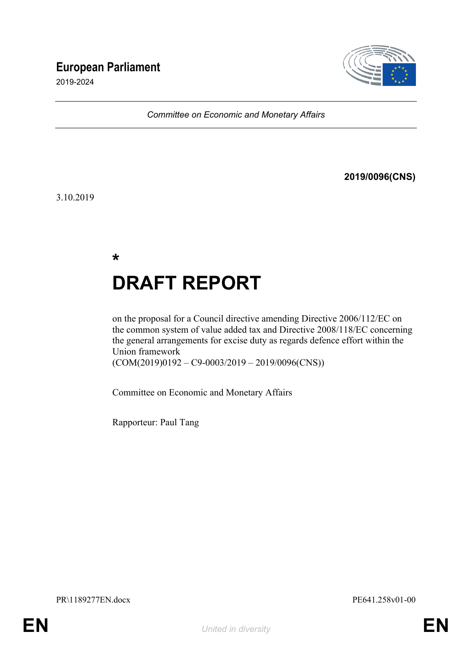## **European Parliament**

2019-2024



*Committee on Economic and Monetary Affairs*

#### **2019/0096(CNS)**

3.10.2019

**\***

# **DRAFT REPORT**

on the proposal for a Council directive amending Directive 2006/112/EC on the common system of value added tax and Directive 2008/118/EC concerning the general arrangements for excise duty as regards defence effort within the Union framework (COM(2019)0192 – C9-0003/2019 – 2019/0096(CNS))

Committee on Economic and Monetary Affairs

Rapporteur: Paul Tang

PR\1189277EN.docx PE641.258v01-00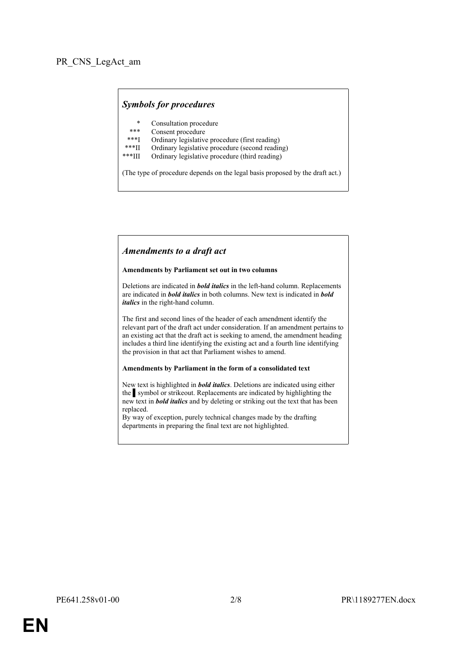#### *Symbols for procedures*

- \* Consultation procedure
- Consent procedure
- \*\*\*I Ordinary legislative procedure (first reading)
- \*\*\*II Ordinary legislative procedure (second reading)
- \*\*\*III Ordinary legislative procedure (third reading)

(The type of procedure depends on the legal basis proposed by the draft act.)

#### *Amendments to a draft act*

#### **Amendments by Parliament set out in two columns**

Deletions are indicated in *bold italics* in the left-hand column. Replacements are indicated in *bold italics* in both columns. New text is indicated in *bold italics* in the right-hand column.

The first and second lines of the header of each amendment identify the relevant part of the draft act under consideration. If an amendment pertains to an existing act that the draft act is seeking to amend, the amendment heading includes a third line identifying the existing act and a fourth line identifying the provision in that act that Parliament wishes to amend.

#### **Amendments by Parliament in the form of a consolidated text**

New text is highlighted in *bold italics*. Deletions are indicated using either the symbol or strikeout. Replacements are indicated by highlighting the new text in *bold italics* and by deleting or striking out the text that has been replaced.

By way of exception, purely technical changes made by the drafting departments in preparing the final text are not highlighted.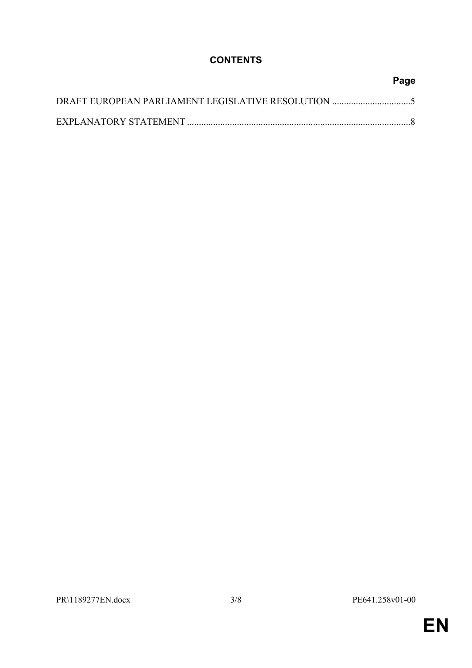### **CONTENTS**

## **Page** DRAFT EUROPEAN PARLIAMENT LEGISLATIVE RESOLUTION .................................[5](#page-4-0) EXPLANATORY STATEMENT ..............................................................................................[8](#page-7-0)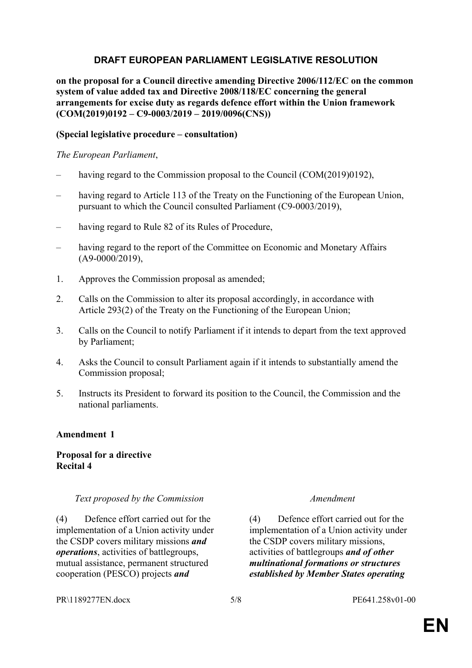#### <span id="page-4-0"></span>**DRAFT EUROPEAN PARLIAMENT LEGISLATIVE RESOLUTION**

**on the proposal for a Council directive amending Directive 2006/112/EC on the common system of value added tax and Directive 2008/118/EC concerning the general arrangements for excise duty as regards defence effort within the Union framework (COM(2019)0192 – C9-0003/2019 – 2019/0096(CNS))**

#### **(Special legislative procedure – consultation)**

#### *The European Parliament*,

- having regard to the Commission proposal to the Council (COM(2019)0192),
- having regard to Article 113 of the Treaty on the Functioning of the European Union, pursuant to which the Council consulted Parliament (C9-0003/2019),
- having regard to Rule 82 of its Rules of Procedure,
- having regard to the report of the Committee on Economic and Monetary Affairs (A9-0000/2019),
- 1. Approves the Commission proposal as amended;
- 2. Calls on the Commission to alter its proposal accordingly, in accordance with Article 293(2) of the Treaty on the Functioning of the European Union;
- 3. Calls on the Council to notify Parliament if it intends to depart from the text approved by Parliament;
- 4. Asks the Council to consult Parliament again if it intends to substantially amend the Commission proposal;
- 5. Instructs its President to forward its position to the Council, the Commission and the national parliaments.

#### **Amendment 1**

#### **Proposal for a directive Recital 4**

#### *Text proposed by the Commission Amendment*

(4) Defence effort carried out for the implementation of a Union activity under the CSDP covers military missions *and operations*, activities of battlegroups, mutual assistance, permanent structured cooperation (PESCO) projects *and*

(4) Defence effort carried out for the implementation of a Union activity under the CSDP covers military missions, activities of battlegroups *and of other multinational formations or structures established by Member States operating* 

#### PR\1189277EN.docx 5/8 PE641.258v01-00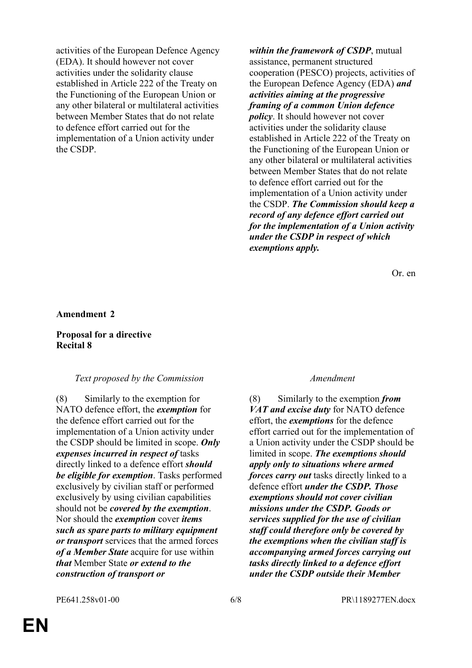activities of the European Defence Agency (EDA). It should however not cover activities under the solidarity clause established in Article 222 of the Treaty on the Functioning of the European Union or any other bilateral or multilateral activities between Member States that do not relate to defence effort carried out for the implementation of a Union activity under the CSDP.

*within the framework of CSDP*, mutual assistance, permanent structured cooperation (PESCO) projects, activities of the European Defence Agency (EDA) *and activities aiming at the progressive framing of a common Union defence policy*. It should however not cover activities under the solidarity clause established in Article 222 of the Treaty on the Functioning of the European Union or any other bilateral or multilateral activities between Member States that do not relate to defence effort carried out for the implementation of a Union activity under the CSDP. *The Commission should keep a record of any defence effort carried out for the implementation of a Union activity under the CSDP in respect of which exemptions apply.*

Or. en

#### **Amendment 2**

#### **Proposal for a directive Recital 8**

#### *Text proposed by the Commission Amendment*

(8) Similarly to the exemption for NATO defence effort, the *exemption* for the defence effort carried out for the implementation of a Union activity under the CSDP should be limited in scope. *Only expenses incurred in respect of* tasks directly linked to a defence effort *should be eligible for exemption*. Tasks performed exclusively by civilian staff or performed exclusively by using civilian capabilities should not be *covered by the exemption*. Nor should the *exemption* cover *items such as spare parts to military equipment or transport* services that the armed forces *of a Member State* acquire for use within *that* Member State *or extend to the construction of transport or* 

(8) Similarly to the exemption *from VAT and excise duty* for NATO defence effort, the *exemptions* for the defence effort carried out for the implementation of a Union activity under the CSDP should be limited in scope. *The exemptions should apply only to situations where armed forces carry out* tasks directly linked to a defence effort *under the CSDP. Those exemptions should not cover civilian missions under the CSDP. Goods or services supplied for the use of civilian staff could therefore only be covered by the exemptions when the civilian staff is accompanying armed forces carrying out tasks directly linked to a defence effort under the CSDP outside their Member*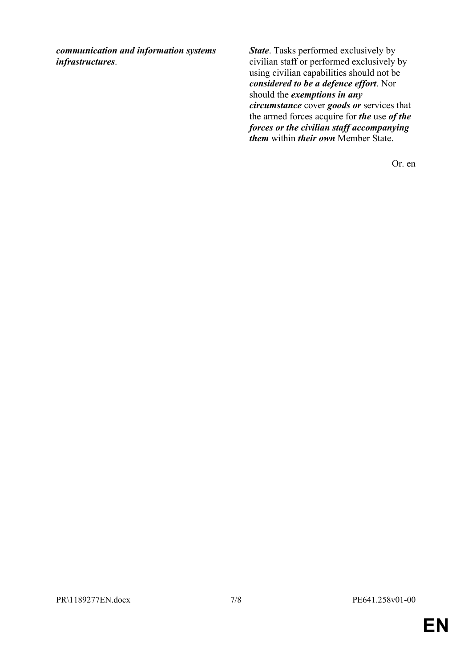*communication and information systems infrastructures*.

*State*. Tasks performed exclusively by civilian staff or performed exclusively by using civilian capabilities should not be *considered to be a defence effort*. Nor should the *exemptions in any circumstance* cover *goods or* services that the armed forces acquire for *the* use *of the forces or the civilian staff accompanying them* within *their own* Member State.

Or. en